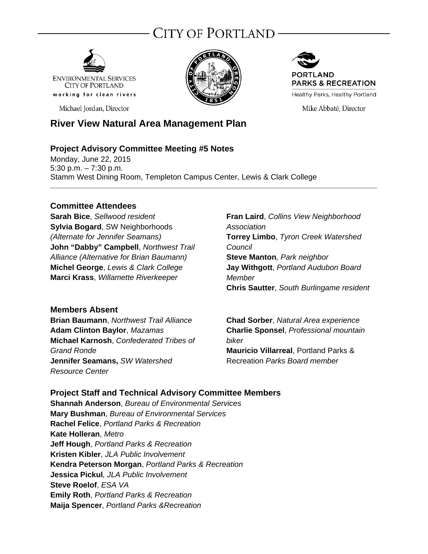# City of Portland ·



Michael Jordan, Director





Mike Abbaté, Director

## **River View Natural Area Management Plan**

#### **Project Advisory Committee Meeting #5 Notes**

Monday, June 22, 2015 5:30 p.m. – 7:30 p.m. Stamm West Dining Room, Templeton Campus Center, Lewis & Clark College

#### **Committee Attendees**

**Sarah Bice**, *Sellwood resident* **Sylvia Bogard**, SW Neighborhoods *(Alternate for Jennifer Seamans)*  **John "Dabby" Campbell**, *Northwest Trail Alliance (Alternative for Brian Baumann)* **Michel George**, *Lewis & Clark College*  **Marci Krass**, *Willamette Riverkeeper*

#### **Members Absent**

**Brian Baumann**, *Northwest Trail Alliance* **Adam Clinton Baylor**, *Mazamas*  **Michael Karnosh**, *Confederated Tribes of Grand Ronde* **Jennifer Seamans,** *SW Watershed Resource Center* 

**Fran Laird**, *Collins View Neighborhood Association* **Torrey Limbo**, *Tyron Creek Watershed Council*  **Steve Manton***, Park neighbor*  **Jay Withgott**, *Portland Audubon Board Member* **Chris Sautter**, *South Burlingame resident* 

**Chad Sorber**, *Natural Area experience* **Charlie Sponsel**, *Professional mountain biker* **Mauricio Villarreal**, Portland Parks & Recreation *Parks Board member*

#### **Project Staff and Technical Advisory Committee Members**

**Shannah Anderson**, *Bureau of Environmental Services* **Mary Bushman**, *Bureau of Environmental Services* **Rachel Felice**, *Portland Parks & Recreation*  **Kate Holleran**, *Metro*  **Jeff Hough**, *Portland Parks & Recreation*  **Kristen Kibler**, *JLA Public Involvement* **Kendra Peterson Morgan**, *Portland Parks & Recreation*  **Jessica Pickul***, JLA Public Involvement* **Steve Roelof**, *ESA VA*  **Emily Roth**, *Portland Parks & Recreation* **Maija Spencer**, *Portland Parks &Recreation*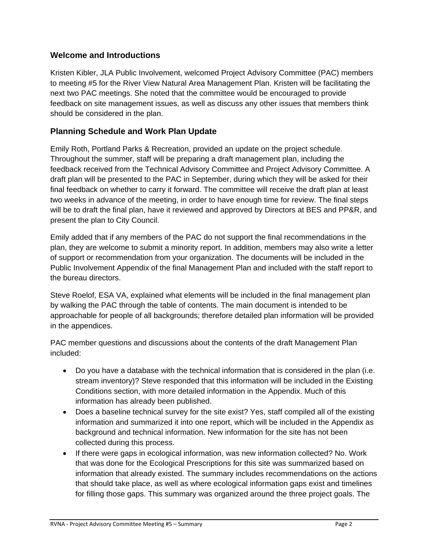## **Welcome and Introductions**

Kristen Kibler, JLA Public Involvement, welcomed Project Advisory Committee (PAC) members to meeting #5 for the River View Natural Area Management Plan. Kristen will be facilitating the next two PAC meetings. She noted that the committee would be encouraged to provide feedback on site management issues, as well as discuss any other issues that members think should be considered in the plan.

## **Planning Schedule and Work Plan Update**

Emily Roth, Portland Parks & Recreation, provided an update on the project schedule. Throughout the summer, staff will be preparing a draft management plan, including the feedback received from the Technical Advisory Committee and Project Advisory Committee. A draft plan will be presented to the PAC in September, during which they will be asked for their final feedback on whether to carry it forward. The committee will receive the draft plan at least two weeks in advance of the meeting, in order to have enough time for review. The final steps will be to draft the final plan, have it reviewed and approved by Directors at BES and PP&R, and present the plan to City Council.

Emily added that if any members of the PAC do not support the final recommendations in the plan, they are welcome to submit a minority report. In addition, members may also write a letter of support or recommendation from your organization. The documents will be included in the Public Involvement Appendix of the final Management Plan and included with the staff report to the bureau directors.

Steve Roelof, ESA VA, explained what elements will be included in the final management plan by walking the PAC through the table of contents. The main document is intended to be approachable for people of all backgrounds; therefore detailed plan information will be provided in the appendices.

PAC member questions and discussions about the contents of the draft Management Plan included:

- Do you have a database with the technical information that is considered in the plan (i.e. stream inventory)? Steve responded that this information will be included in the Existing Conditions section, with more detailed information in the Appendix. Much of this information has already been published.
- Does a baseline technical survey for the site exist? Yes, staff compiled all of the existing information and summarized it into one report, which will be included in the Appendix as background and technical information. New information for the site has not been collected during this process.
- If there were gaps in ecological information, was new information collected? No. Work that was done for the Ecological Prescriptions for this site was summarized based on information that already existed. The summary includes recommendations on the actions that should take place, as well as where ecological information gaps exist and timelines for filling those gaps. This summary was organized around the three project goals. The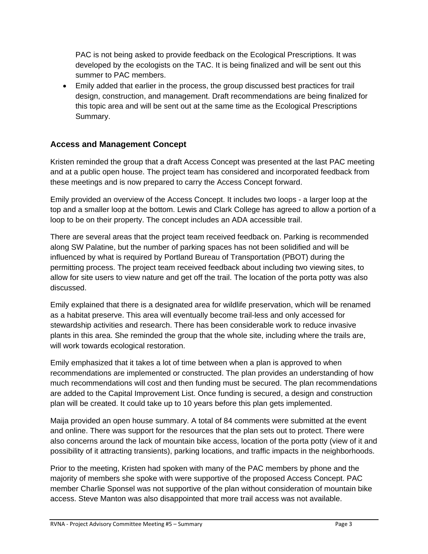PAC is not being asked to provide feedback on the Ecological Prescriptions. It was developed by the ecologists on the TAC. It is being finalized and will be sent out this summer to PAC members.

 Emily added that earlier in the process, the group discussed best practices for trail design, construction, and management. Draft recommendations are being finalized for this topic area and will be sent out at the same time as the Ecological Prescriptions Summary.

## **Access and Management Concept**

Kristen reminded the group that a draft Access Concept was presented at the last PAC meeting and at a public open house. The project team has considered and incorporated feedback from these meetings and is now prepared to carry the Access Concept forward.

Emily provided an overview of the Access Concept. It includes two loops - a larger loop at the top and a smaller loop at the bottom. Lewis and Clark College has agreed to allow a portion of a loop to be on their property. The concept includes an ADA accessible trail.

There are several areas that the project team received feedback on. Parking is recommended along SW Palatine, but the number of parking spaces has not been solidified and will be influenced by what is required by Portland Bureau of Transportation (PBOT) during the permitting process. The project team received feedback about including two viewing sites, to allow for site users to view nature and get off the trail. The location of the porta potty was also discussed.

Emily explained that there is a designated area for wildlife preservation, which will be renamed as a habitat preserve. This area will eventually become trail-less and only accessed for stewardship activities and research. There has been considerable work to reduce invasive plants in this area. She reminded the group that the whole site, including where the trails are, will work towards ecological restoration.

Emily emphasized that it takes a lot of time between when a plan is approved to when recommendations are implemented or constructed. The plan provides an understanding of how much recommendations will cost and then funding must be secured. The plan recommendations are added to the Capital Improvement List. Once funding is secured, a design and construction plan will be created. It could take up to 10 years before this plan gets implemented.

Maija provided an open house summary. A total of 84 comments were submitted at the event and online. There was support for the resources that the plan sets out to protect. There were also concerns around the lack of mountain bike access, location of the porta potty (view of it and possibility of it attracting transients), parking locations, and traffic impacts in the neighborhoods.

Prior to the meeting, Kristen had spoken with many of the PAC members by phone and the majority of members she spoke with were supportive of the proposed Access Concept. PAC member Charlie Sponsel was not supportive of the plan without consideration of mountain bike access. Steve Manton was also disappointed that more trail access was not available.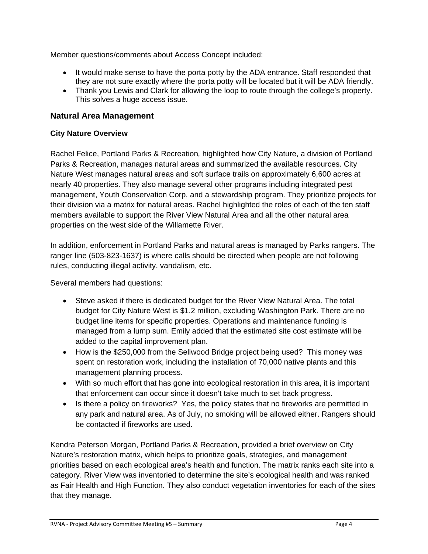Member questions/comments about Access Concept included:

- It would make sense to have the porta potty by the ADA entrance. Staff responded that they are not sure exactly where the porta potty will be located but it will be ADA friendly.
- Thank you Lewis and Clark for allowing the loop to route through the college's property. This solves a huge access issue.

#### **Natural Area Management**

#### **City Nature Overview**

Rachel Felice, Portland Parks & Recreation*,* highlighted how City Nature, a division of Portland Parks & Recreation, manages natural areas and summarized the available resources. City Nature West manages natural areas and soft surface trails on approximately 6,600 acres at nearly 40 properties. They also manage several other programs including integrated pest management, Youth Conservation Corp, and a stewardship program. They prioritize projects for their division via a matrix for natural areas. Rachel highlighted the roles of each of the ten staff members available to support the River View Natural Area and all the other natural area properties on the west side of the Willamette River.

In addition, enforcement in Portland Parks and natural areas is managed by Parks rangers. The ranger line (503-823-1637) is where calls should be directed when people are not following rules, conducting illegal activity, vandalism, etc.

Several members had questions:

- Steve asked if there is dedicated budget for the River View Natural Area. The total budget for City Nature West is \$1.2 million, excluding Washington Park. There are no budget line items for specific properties. Operations and maintenance funding is managed from a lump sum. Emily added that the estimated site cost estimate will be added to the capital improvement plan.
- How is the \$250,000 from the Sellwood Bridge project being used? This money was spent on restoration work, including the installation of 70,000 native plants and this management planning process.
- With so much effort that has gone into ecological restoration in this area, it is important that enforcement can occur since it doesn't take much to set back progress.
- Is there a policy on fireworks? Yes, the policy states that no fireworks are permitted in any park and natural area. As of July, no smoking will be allowed either. Rangers should be contacted if fireworks are used.

Kendra Peterson Morgan, Portland Parks & Recreation, provided a brief overview on City Nature's restoration matrix, which helps to prioritize goals, strategies, and management priorities based on each ecological area's health and function. The matrix ranks each site into a category. River View was inventoried to determine the site's ecological health and was ranked as Fair Health and High Function. They also conduct vegetation inventories for each of the sites that they manage.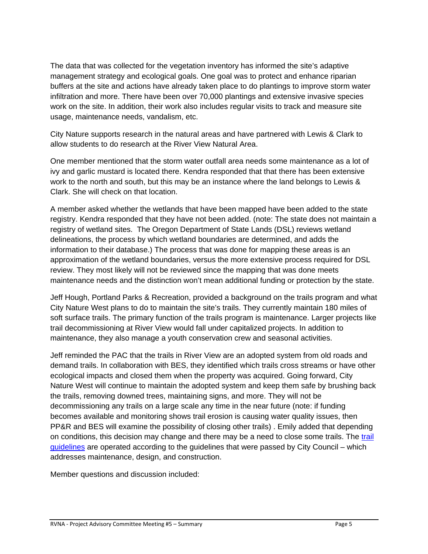The data that was collected for the vegetation inventory has informed the site's adaptive management strategy and ecological goals. One goal was to protect and enhance riparian buffers at the site and actions have already taken place to do plantings to improve storm water infiltration and more. There have been over 70,000 plantings and extensive invasive species work on the site. In addition, their work also includes regular visits to track and measure site usage, maintenance needs, vandalism, etc.

City Nature supports research in the natural areas and have partnered with Lewis & Clark to allow students to do research at the River View Natural Area.

One member mentioned that the storm water outfall area needs some maintenance as a lot of ivy and garlic mustard is located there. Kendra responded that that there has been extensive work to the north and south, but this may be an instance where the land belongs to Lewis & Clark. She will check on that location.

A member asked whether the wetlands that have been mapped have been added to the state registry. Kendra responded that they have not been added. (note: The state does not maintain a registry of wetland sites. The Oregon Department of State Lands (DSL) reviews wetland delineations, the process by which wetland boundaries are determined, and adds the information to their database.) The process that was done for mapping these areas is an approximation of the wetland boundaries, versus the more extensive process required for DSL review. They most likely will not be reviewed since the mapping that was done meets maintenance needs and the distinction won't mean additional funding or protection by the state.

Jeff Hough, Portland Parks & Recreation, provided a background on the trails program and what City Nature West plans to do to maintain the site's trails. They currently maintain 180 miles of soft surface trails. The primary function of the trails program is maintenance. Larger projects like trail decommissioning at River View would fall under capitalized projects. In addition to maintenance, they also manage a youth conservation crew and seasonal activities.

Jeff reminded the PAC that the trails in River View are an adopted system from old roads and demand trails. In collaboration with BES, they identified which trails cross streams or have other ecological impacts and closed them when the property was acquired. Going forward, City Nature West will continue to maintain the adopted system and keep them safe by brushing back the trails, removing downed trees, maintaining signs, and more. They will not be decommissioning any trails on a large scale any time in the near future (note: if funding becomes available and monitoring shows trail erosion is causing water quality issues, then PP&R and BES will examine the possibility of closing other trails) . Emily added that depending on conditions, this decision may change and there may be a need to close some trails. The trail guidelines are operated according to the guidelines that were passed by City Council – which addresses maintenance, design, and construction.

Member questions and discussion included: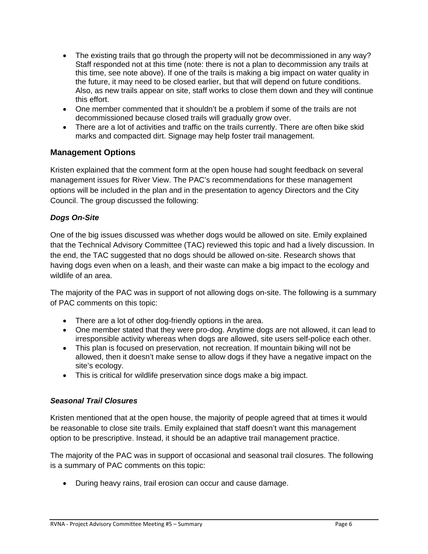- The existing trails that go through the property will not be decommissioned in any way? Staff responded not at this time (note: there is not a plan to decommission any trails at this time, see note above). If one of the trails is making a big impact on water quality in the future, it may need to be closed earlier, but that will depend on future conditions. Also, as new trails appear on site, staff works to close them down and they will continue this effort.
- One member commented that it shouldn't be a problem if some of the trails are not decommissioned because closed trails will gradually grow over.
- There are a lot of activities and traffic on the trails currently. There are often bike skid marks and compacted dirt. Signage may help foster trail management.

#### **Management Options**

Kristen explained that the comment form at the open house had sought feedback on several management issues for River View. The PAC's recommendations for these management options will be included in the plan and in the presentation to agency Directors and the City Council. The group discussed the following:

#### *Dogs On-Site*

One of the big issues discussed was whether dogs would be allowed on site. Emily explained that the Technical Advisory Committee (TAC) reviewed this topic and had a lively discussion. In the end, the TAC suggested that no dogs should be allowed on-site. Research shows that having dogs even when on a leash, and their waste can make a big impact to the ecology and wildlife of an area.

The majority of the PAC was in support of not allowing dogs on-site. The following is a summary of PAC comments on this topic:

- There are a lot of other dog-friendly options in the area.
- One member stated that they were pro-dog. Anytime dogs are not allowed, it can lead to irresponsible activity whereas when dogs are allowed, site users self-police each other.
- This plan is focused on preservation, not recreation. If mountain biking will not be allowed, then it doesn't make sense to allow dogs if they have a negative impact on the site's ecology.
- This is critical for wildlife preservation since dogs make a big impact.

#### *Seasonal Trail Closures*

Kristen mentioned that at the open house, the majority of people agreed that at times it would be reasonable to close site trails. Emily explained that staff doesn't want this management option to be prescriptive. Instead, it should be an adaptive trail management practice.

The majority of the PAC was in support of occasional and seasonal trail closures. The following is a summary of PAC comments on this topic:

During heavy rains, trail erosion can occur and cause damage.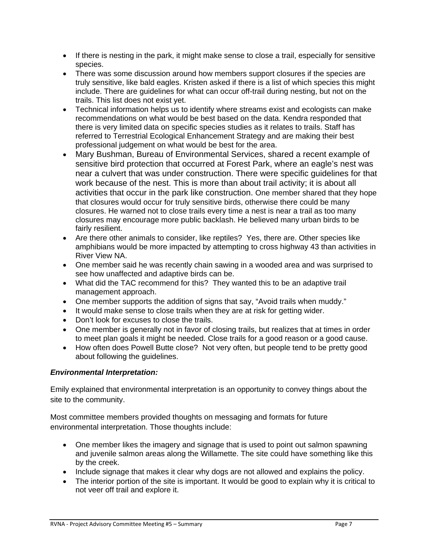- If there is nesting in the park, it might make sense to close a trail, especially for sensitive species.
- There was some discussion around how members support closures if the species are truly sensitive, like bald eagles. Kristen asked if there is a list of which species this might include. There are guidelines for what can occur off-trail during nesting, but not on the trails. This list does not exist yet.
- Technical information helps us to identify where streams exist and ecologists can make recommendations on what would be best based on the data. Kendra responded that there is very limited data on specific species studies as it relates to trails. Staff has referred to Terrestrial Ecological Enhancement Strategy and are making their best professional judgement on what would be best for the area.
- Mary Bushman, Bureau of Environmental Services, shared a recent example of sensitive bird protection that occurred at Forest Park, where an eagle's nest was near a culvert that was under construction. There were specific guidelines for that work because of the nest. This is more than about trail activity; it is about all activities that occur in the park like construction. One member shared that they hope that closures would occur for truly sensitive birds, otherwise there could be many closures. He warned not to close trails every time a nest is near a trail as too many closures may encourage more public backlash. He believed many urban birds to be fairly resilient.
- Are there other animals to consider, like reptiles? Yes, there are. Other species like amphibians would be more impacted by attempting to cross highway 43 than activities in River View NA.
- One member said he was recently chain sawing in a wooded area and was surprised to see how unaffected and adaptive birds can be.
- What did the TAC recommend for this? They wanted this to be an adaptive trail management approach.
- One member supports the addition of signs that say, "Avoid trails when muddy."
- It would make sense to close trails when they are at risk for getting wider.
- Don't look for excuses to close the trails.
- One member is generally not in favor of closing trails, but realizes that at times in order to meet plan goals it might be needed. Close trails for a good reason or a good cause.
- How often does Powell Butte close? Not very often, but people tend to be pretty good about following the guidelines.

#### *Environmental Interpretation:*

Emily explained that environmental interpretation is an opportunity to convey things about the site to the community.

Most committee members provided thoughts on messaging and formats for future environmental interpretation. Those thoughts include:

- One member likes the imagery and signage that is used to point out salmon spawning and juvenile salmon areas along the Willamette. The site could have something like this by the creek.
- Include signage that makes it clear why dogs are not allowed and explains the policy.
- The interior portion of the site is important. It would be good to explain why it is critical to not veer off trail and explore it.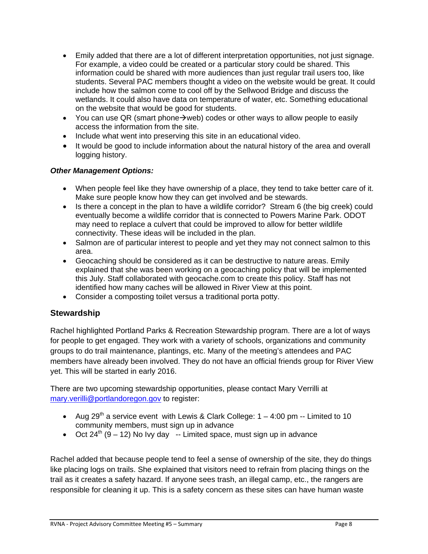- Emily added that there are a lot of different interpretation opportunities, not just signage. For example, a video could be created or a particular story could be shared. This information could be shared with more audiences than just regular trail users too, like students. Several PAC members thought a video on the website would be great. It could include how the salmon come to cool off by the Sellwood Bridge and discuss the wetlands. It could also have data on temperature of water, etc. Something educational on the website that would be good for students.
- You can use QR (smart phone  $\rightarrow$  web) codes or other ways to allow people to easily access the information from the site.
- Include what went into preserving this site in an educational video.
- It would be good to include information about the natural history of the area and overall logging history.

#### *Other Management Options:*

- When people feel like they have ownership of a place, they tend to take better care of it. Make sure people know how they can get involved and be stewards.
- Is there a concept in the plan to have a wildlife corridor? Stream 6 (the big creek) could eventually become a wildlife corridor that is connected to Powers Marine Park. ODOT may need to replace a culvert that could be improved to allow for better wildlife connectivity. These ideas will be included in the plan.
- Salmon are of particular interest to people and yet they may not connect salmon to this area.
- Geocaching should be considered as it can be destructive to nature areas. Emily explained that she was been working on a geocaching policy that will be implemented this July. Staff collaborated with geocache.com to create this policy. Staff has not identified how many caches will be allowed in River View at this point.
- Consider a composting toilet versus a traditional porta potty.

## **Stewardship**

Rachel highlighted Portland Parks & Recreation Stewardship program. There are a lot of ways for people to get engaged. They work with a variety of schools, organizations and community groups to do trail maintenance, plantings, etc. Many of the meeting's attendees and PAC members have already been involved. They do not have an official friends group for River View yet. This will be started in early 2016.

There are two upcoming stewardship opportunities, please contact Mary Verrilli at mary.verilli@portlandoregon.gov to register:

- Aug 29<sup>th</sup> a service event with Lewis & Clark College:  $1 4:00$  pm -- Limited to 10 community members, must sign up in advance
- Oct  $24^{th}$  (9 12) No Ivy day -- Limited space, must sign up in advance

Rachel added that because people tend to feel a sense of ownership of the site, they do things like placing logs on trails. She explained that visitors need to refrain from placing things on the trail as it creates a safety hazard. If anyone sees trash, an illegal camp, etc., the rangers are responsible for cleaning it up. This is a safety concern as these sites can have human waste